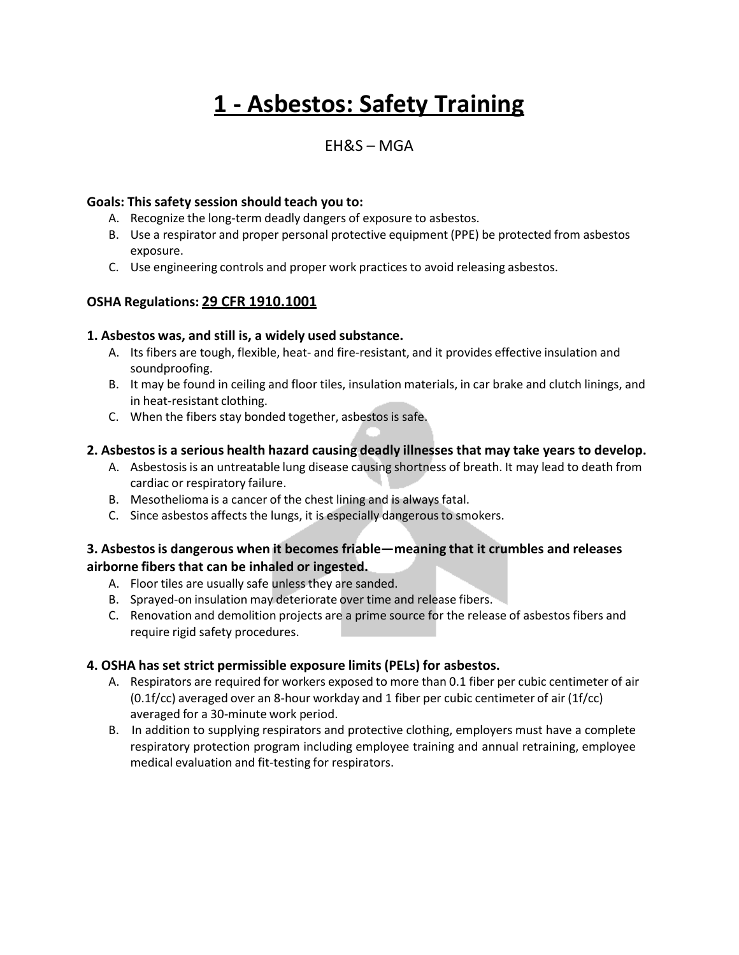# **1 - Asbestos: Safety Training**

# EH&S – MGA

#### **Goals: This safety session should teach you to:**

- A. Recognize the long-term deadly dangers of exposure to asbestos.
- B. Use a respirator and proper personal protective equipment (PPE) be protected from asbestos exposure.
- C. Use engineering controls and proper work practices to avoid releasing asbestos.

# **OSHA Regulations: 29 CFR 1910.1001**

#### **1. Asbestos was, and still is, a widely used substance.**

- A. Its fibers are tough, flexible, heat- and fire-resistant, and it provides effective insulation and soundproofing.
- B. It may be found in ceiling and floor tiles, insulation materials, in car brake and clutch linings, and in heat-resistant clothing.
- C. When the fibers stay bonded together, asbestos is safe.

#### **2. Asbestosis a serious health hazard causing deadly illnesses that may take years to develop.**

- A. Asbestosisis an untreatable lung disease causing shortness of breath. It may lead to death from cardiac or respiratory failure.
- B. Mesothelioma is a cancer of the chest lining and is always fatal.
- C. Since asbestos affects the lungs, it is especially dangerousto smokers.

#### **3. Asbestosis dangerous when it becomes friable—meaning that it crumbles and releases airborne fibers that can be inhaled or ingested.**

- A. Floor tiles are usually safe unless they are sanded.
- B. Sprayed-on insulation may deteriorate over time and release fibers.
- C. Renovation and demolition projects are a prime source for the release of asbestos fibers and require rigid safety procedures.

## **4. OSHA has set strict permissible exposure limits (PELs) for asbestos.**

- A. Respirators are required for workers exposed to more than 0.1 fiber per cubic centimeter of air (0.1f/cc) averaged over an 8-hour workday and 1 fiber per cubic centimeter of air (1f/cc) averaged for a 30-minute work period.
- B. In addition to supplying respirators and protective clothing, employers must have a complete respiratory protection program including employee training and annual retraining, employee medical evaluation and fit-testing for respirators.